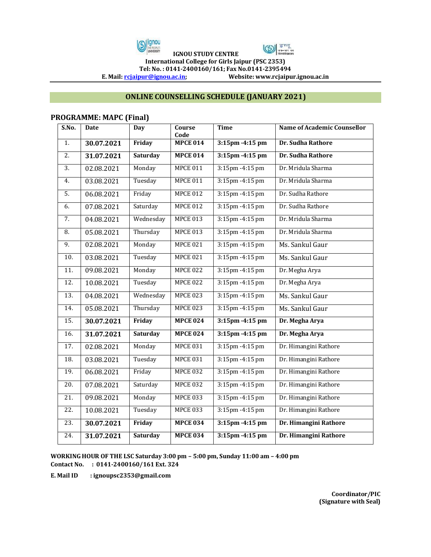



**IGNOU STUDY CENTRE** 

**International College for Girls Jaipur (PSC 2353) Tel: No. : 0141-2400160/161; Fax No.0141-2395494** 

**E. Mail[: rcjaipur@ignou.ac.in;](mailto:rcjaipur@ignou.ac.in) Website: www.rcjaipur.ignou.ac.in**

## **ONLINE COUNSELLING SCHEDULE (JANUARY 2021)**

## **PROGRAMME: MAPC (Final)**

| S.No.             | <b>Date</b> | Day             | Course<br>Code  | <b>Time</b>                       | <b>Name of Academic Counsellor</b> |
|-------------------|-------------|-----------------|-----------------|-----------------------------------|------------------------------------|
| 1.                | 30.07.2021  | Friday          | <b>MPCE 014</b> | $3:15$ pm $-4:15$ pm              | Dr. Sudha Rathore                  |
| 2.                | 31.07.2021  | <b>Saturday</b> | <b>MPCE 014</b> | $3:15$ pm $-4:15$ pm              | Dr. Sudha Rathore                  |
| $\overline{3}$ .  | 02.08.2021  | Monday          | <b>MPCE 011</b> | $3:15$ pm $-4:15$ pm              | Dr. Mridula Sharma                 |
| 4.                | 03.08.2021  | Tuesday         | <b>MPCE 011</b> | 3:15pm -4:15 pm                   | Dr. Mridula Sharma                 |
| 5.                | 06.08.2021  | Friday          | <b>MPCE 012</b> | $3:15 \text{pm} - 4:15 \text{pm}$ | Dr. Sudha Rathore                  |
| 6.                | 07.08.2021  | Saturday        | <b>MPCE 012</b> | $3:15$ pm $-4:15$ pm              | Dr. Sudha Rathore                  |
| 7.                | 04.08.2021  | Wednesday       | <b>MPCE 013</b> | 3:15pm -4:15 pm                   | Dr. Mridula Sharma                 |
| 8.                | 05.08.2021  | Thursday        | <b>MPCE 013</b> | $3:15 \text{pm} - 4:15 \text{pm}$ | Dr. Mridula Sharma                 |
| 9.                | 02.08.2021  | Monday          | <b>MPCE 021</b> | 3:15pm -4:15 pm                   | Ms. Sankul Gaur                    |
| 10.               | 03.08.2021  | Tuesday         | <b>MPCE 021</b> | $3:15 \text{pm} - 4:15 \text{pm}$ | Ms. Sankul Gaur                    |
| 11.               | 09.08.2021  | Monday          | <b>MPCE 022</b> | 3:15pm -4:15 pm                   | Dr. Megha Arya                     |
| 12.               | 10.08.2021  | Tuesday         | <b>MPCE 022</b> | 3:15pm -4:15 pm                   | Dr. Megha Arya                     |
| $\overline{13}$ . | 04.08.2021  | Wednesday       | <b>MPCE 023</b> | 3:15pm -4:15 pm                   | Ms. Sankul Gaur                    |
| 14.               | 05.08.2021  | Thursday        | <b>MPCE 023</b> | 3:15pm -4:15 pm                   | Ms. Sankul Gaur                    |
| $\overline{15}$ . | 30.07.2021  | Friday          | <b>MPCE 024</b> | $3:15$ pm $-4:15$ pm              | Dr. Megha Arya                     |
| 16.               | 31.07.2021  | <b>Saturday</b> | <b>MPCE 024</b> | 3:15pm -4:15 pm                   | Dr. Megha Arya                     |
| 17.               | 02.08.2021  | Monday          | <b>MPCE 031</b> | $3:15 \text{pm} - 4:15 \text{pm}$ | Dr. Himangini Rathore              |
| 18.               | 03.08.2021  | Tuesday         | <b>MPCE 031</b> | 3:15pm -4:15 pm                   | Dr. Himangini Rathore              |
| 19.               | 06.08.2021  | Friday          | <b>MPCE 032</b> | 3:15pm -4:15 pm                   | Dr. Himangini Rathore              |
| 20.               | 07.08.2021  | Saturday        | <b>MPCE 032</b> | 3:15pm -4:15 pm                   | Dr. Himangini Rathore              |
| $\overline{21}$ . | 09.08.2021  | Monday          | <b>MPCE 033</b> | 3:15pm -4:15 pm                   | Dr. Himangini Rathore              |
| 22.               | 10.08.2021  | Tuesday         | <b>MPCE 033</b> | $3:15 \text{pm} - 4:15 \text{pm}$ | Dr. Himangini Rathore              |
| 23.               | 30.07.2021  | Friday          | <b>MPCE 034</b> | 3:15pm -4:15 pm                   | Dr. Himangini Rathore              |
| 24.               | 31.07.2021  | <b>Saturday</b> | <b>MPCE 034</b> | $3:15$ pm $-4:15$ pm              | Dr. Himangini Rathore              |

**WORKING HOUR OF THE LSC Saturday 3:00 pm – 5:00 pm, Sunday 11:00 am – 4:00 pm Contact No. : 0141-2400160/161 Ext. 324** 

**E. Mail ID : ignoupsc2353@gmail.com**